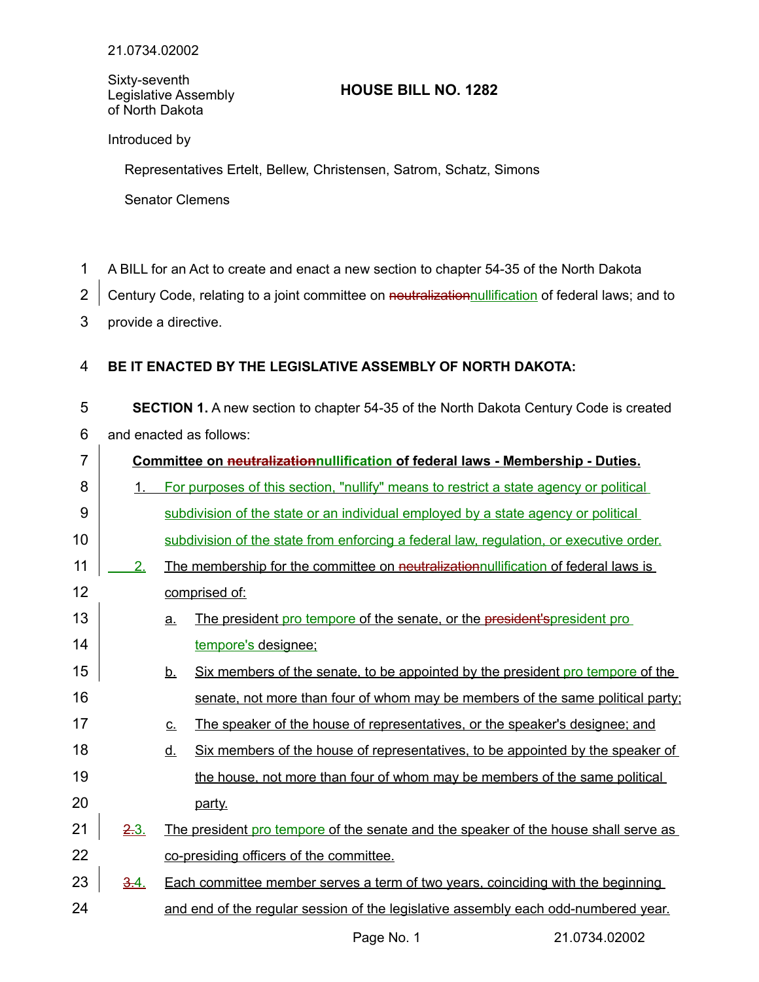Sixty-seventh Legislative Assembly of North Dakota

## **HOUSE BILL NO. 1282**

Introduced by

Representatives Ertelt, Bellew, Christensen, Satrom, Schatz, Simons

Senator Clemens

- A BILL for an Act to create and enact a new section to chapter 54-35 of the North Dakota 1
- Century Code, relating to a joint committee on neutralizationnullification of federal laws; and to 2
- provide a directive. 3

## **BE IT ENACTED BY THE LEGISLATIVE ASSEMBLY OF NORTH DAKOTA:** 4

**SECTION 1.** A new section to chapter 54-35 of the North Dakota Century Code is created and enacted as follows: 5 6

| $\overline{7}$ | Committee on neutralizationnullification of federal laws - Membership - Duties. |                   |                                                                                        |
|----------------|---------------------------------------------------------------------------------|-------------------|----------------------------------------------------------------------------------------|
| 8              | $\mathbf{1}$ .                                                                  |                   | For purposes of this section, "nullify" means to restrict a state agency or political  |
| 9              |                                                                                 |                   | subdivision of the state or an individual employed by a state agency or political      |
| 10             |                                                                                 |                   | subdivision of the state from enforcing a federal law, regulation, or executive order. |
| 11             | 2.                                                                              |                   | The membership for the committee on neutralization nullification of federal laws is    |
| 12             |                                                                                 |                   | comprised of:                                                                          |
| 13             |                                                                                 | <u>a.</u>         | The president pro tempore of the senate, or the president'spresident pro               |
| 14             |                                                                                 |                   | tempore's designee;                                                                    |
| 15             |                                                                                 | <u>b.</u>         | Six members of the senate, to be appointed by the president pro tempore of the         |
| 16             |                                                                                 |                   | senate, not more than four of whom may be members of the same political party;         |
| 17             |                                                                                 | $\underline{C}$ . | The speaker of the house of representatives, or the speaker's designee; and            |
| 18             |                                                                                 | <u>d.</u>         | Six members of the house of representatives, to be appointed by the speaker of         |
| 19             |                                                                                 |                   | the house, not more than four of whom may be members of the same political             |
| 20             |                                                                                 |                   | party.                                                                                 |
| 21             | 2.3.                                                                            |                   | The president pro tempore of the senate and the speaker of the house shall serve as    |
| 22             |                                                                                 |                   | co-presiding officers of the committee.                                                |
| 23             | 3.4.                                                                            |                   | Each committee member serves a term of two years, coinciding with the beginning        |
| 24             |                                                                                 |                   | and end of the regular session of the legislative assembly each odd-numbered year.     |

Page No. 1 21.0734.02002